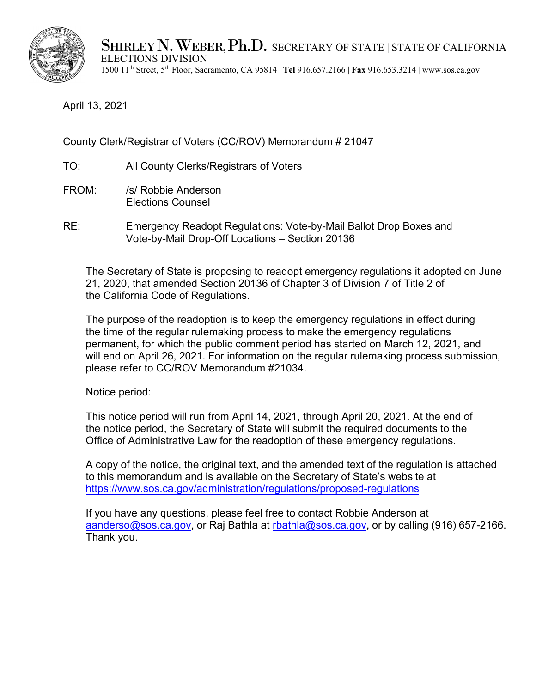

SHIRLEY N. WEBER, Ph.D. SECRETARY OF STATE | STATE OF CALIFORNIA ELECTIONS DIVISION 1500 11th Street, 5th Floor, Sacramento, CA 95814 | **Tel** 916.657.2166 | **Fax** 916.653.3214 | [www.sos.ca.gov](http://www.sos.ca.gov/)

April 13, 2021

County Clerk/Registrar of Voters (CC/ROV) Memorandum # 21047

- TO: All County Clerks/Registrars of Voters
- FROM: /s/ Robbie Anderson Elections Counsel
- RE: Emergency Readopt Regulations: Vote-by-Mail Ballot Drop Boxes and Vote-by-Mail Drop-Off Locations – Section 20136

The Secretary of State is proposing to readopt emergency regulations it adopted on June 21, 2020, that amended Section 20136 of Chapter 3 of Division 7 of Title 2 of the California Code of Regulations.

The purpose of the readoption is to keep the emergency regulations in effect during the time of the regular rulemaking process to make the emergency regulations permanent, for which the public comment period has started on March 12, 2021, and will end on April 26, 2021. For information on the regular rulemaking process submission, please refer to CC/ROV Memorandum #21034.

Notice period:

This notice period will run from April 14, 2021, through April 20, 2021. At the end of the notice period, the Secretary of State will submit the required documents to the Office of Administrative Law for the readoption of these emergency regulations.

A copy of the notice, the original text, and the amended text of the regulation is attached to this memorandum and is available on the Secretary of State's website at [https://www.sos.ca.gov/administration/regulations/proposed-regula](https://www.sos.ca.gov/administration/regulations/proposed-regulations)tions

If you have any questions, please feel free to contact Robbie Anderson at [aanderso@sos.ca.gov](mailto:aanderso@sos.ca.gov), or Raj Bathla at [rbathla@sos.ca.gov](mailto:rbathla@sos.ca.gov), or by calling (916) 657-2166. Thank you.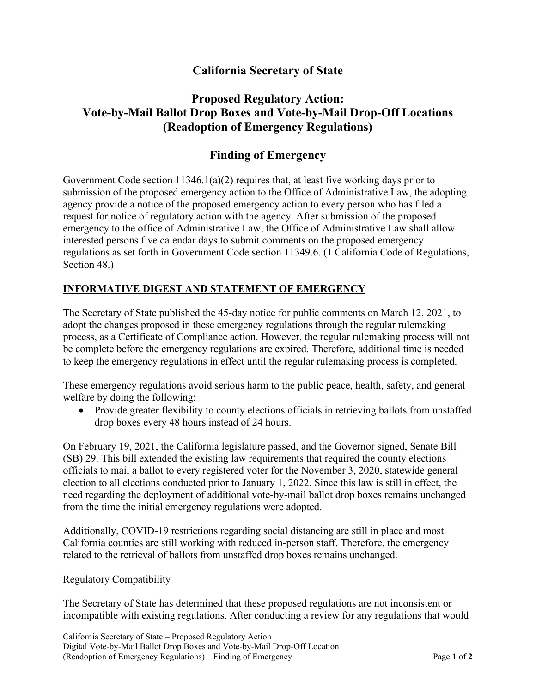### **California Secretary of State**

# **Proposed Regulatory Action: Vote-by-Mail Ballot Drop Boxes and Vote-by-Mail Drop-Off Locations (Readoption of Emergency Regulations)**

# **Finding of Emergency**

Government Code section  $11346.1(a)(2)$  requires that, at least five working days prior to submission of the proposed emergency action to the Office of Administrative Law, the adopting agency provide a notice of the proposed emergency action to every person who has filed a request for notice of regulatory action with the agency. After submission of the proposed emergency to the office of Administrative Law, the Office of Administrative Law shall allow interested persons five calendar days to submit comments on the proposed emergency regulations as set forth in Government Code section 11349.6. (1 California Code of Regulations, Section 48.)

### **INFORMATIVE DIGEST AND STATEMENT OF EMERGENCY**

The Secretary of State published the 45-day notice for public comments on March 12, 2021, to adopt the changes proposed in these emergency regulations through the regular rulemaking process, as a Certificate of Compliance action. However, the regular rulemaking process will not be complete before the emergency regulations are expired. Therefore, additional time is needed to keep the emergency regulations in effect until the regular rulemaking process is completed.

These emergency regulations avoid serious harm to the public peace, health, safety, and general welfare by doing the following:

• Provide greater flexibility to county elections officials in retrieving ballots from unstaffed drop boxes every 48 hours instead of 24 hours.

On February 19, 2021, the California legislature passed, and the Governor signed, Senate Bill (SB) 29. This bill extended the existing law requirements that required the county elections officials to mail a ballot to every registered voter for the November 3, 2020, statewide general election to all elections conducted prior to January 1, 2022. Since this law is still in effect, the need regarding the deployment of additional vote-by-mail ballot drop boxes remains unchanged from the time the initial emergency regulations were adopted.

Additionally, COVID-19 restrictions regarding social distancing are still in place and most California counties are still working with reduced in-person staff. Therefore, the emergency related to the retrieval of ballots from unstaffed drop boxes remains unchanged.

#### Regulatory Compatibility

The Secretary of State has determined that these proposed regulations are not inconsistent or incompatible with existing regulations. After conducting a review for any regulations that would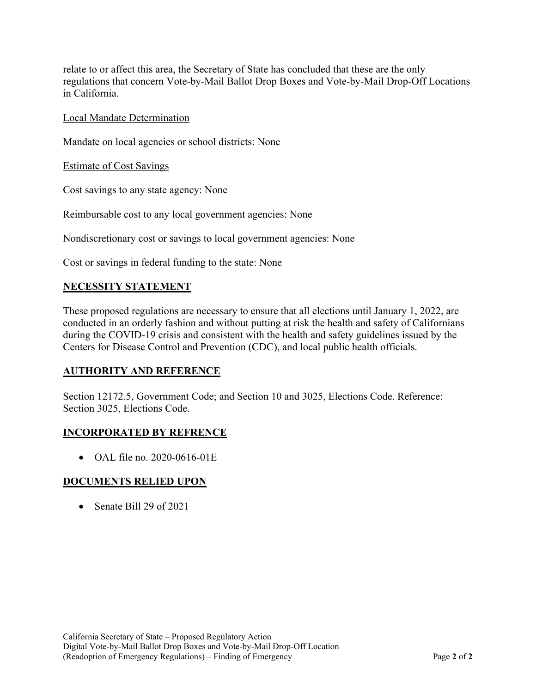relate to or affect this area, the Secretary of State has concluded that these are the only regulations that concern Vote-by-Mail Ballot Drop Boxes and Vote-by-Mail Drop-Off Locations in California.

Local Mandate Determination

Mandate on local agencies or school districts: None

Estimate of Cost Savings

Cost savings to any state agency: None

Reimbursable cost to any local government agencies: None

Nondiscretionary cost or savings to local government agencies: None

Cost or savings in federal funding to the state: None

#### **NECESSITY STATEMENT**

These proposed regulations are necessary to ensure that all elections until January 1, 2022, are conducted in an orderly fashion and without putting at risk the health and safety of Californians during the COVID-19 crisis and consistent with the health and safety guidelines issued by the Centers for Disease Control and Prevention (CDC), and local public health officials.

#### **AUTHORITY AND REFERENCE**

Section 12172.5, Government Code; and Section 10 and 3025, Elections Code. Reference: Section 3025, Elections Code.

#### **INCORPORATED BY REFRENCE**

• OAL file no. 2020-0616-01E

#### **DOCUMENTS RELIED UPON**

• Senate Bill 29 of 2021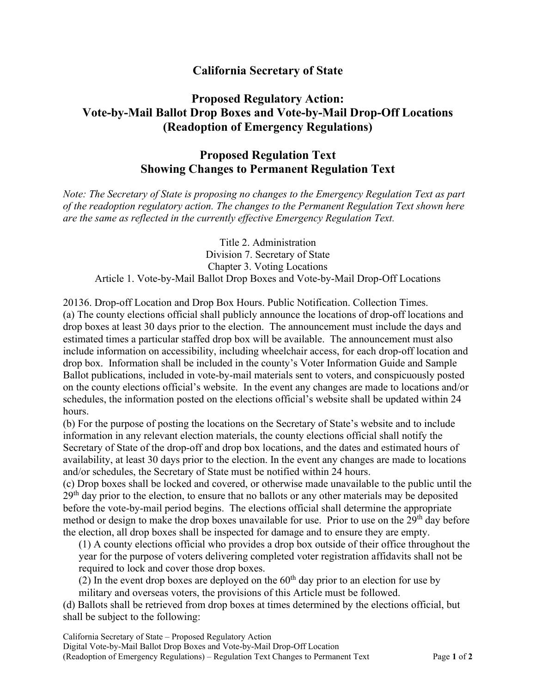### **California Secretary of State**

# **Proposed Regulatory Action: Vote-by-Mail Ballot Drop Boxes and Vote-by-Mail Drop-Off Locations (Readoption of Emergency Regulations)**

# **Proposed Regulation Text Showing Changes to Permanent Regulation Text**

*Note: The Secretary of State is proposing no changes to the Emergency Regulation Text as part of the readoption regulatory action. The changes to the Permanent Regulation Text shown here are the same as reflected in the currently effective Emergency Regulation Text.* 

Title 2. Administration Division 7. Secretary of State Chapter 3. Voting Locations Article 1. Vote-by-Mail Ballot Drop Boxes and Vote-by-Mail Drop-Off Locations

20136. Drop-off Location and Drop Box Hours. Public Notification. Collection Times. (a) The county elections official shall publicly announce the locations of drop-off locations and drop boxes at least 30 days prior to the election. The announcement must include the days and estimated times a particular staffed drop box will be available. The announcement must also include information on accessibility, including wheelchair access, for each drop-off location and drop box. Information shall be included in the county's Voter Information Guide and Sample Ballot publications, included in vote-by-mail materials sent to voters, and conspicuously posted on the county elections official's website. In the event any changes are made to locations and/or schedules, the information posted on the elections official's website shall be updated within 24 hours.

(b) For the purpose of posting the locations on the Secretary of State's website and to include information in any relevant election materials, the county elections official shall notify the Secretary of State of the drop-off and drop box locations, and the dates and estimated hours of availability, at least 30 days prior to the election. In the event any changes are made to locations and/or schedules, the Secretary of State must be notified within 24 hours.

(c) Drop boxes shall be locked and covered, or otherwise made unavailable to the public until the  $29<sup>th</sup>$  day prior to the election, to ensure that no ballots or any other materials may be deposited before the vote-by-mail period begins. The elections official shall determine the appropriate method or design to make the drop boxes unavailable for use. Prior to use on the  $29<sup>th</sup>$  day before the election, all drop boxes shall be inspected for damage and to ensure they are empty.

(1) A county elections official who provides a drop box outside of their office throughout the year for the purpose of voters delivering completed voter registration affidavits shall not be required to lock and cover those drop boxes.

(2) In the event drop boxes are deployed on the  $60<sup>th</sup>$  day prior to an election for use by military and overseas voters, the provisions of this Article must be followed.

(d) Ballots shall be retrieved from drop boxes at times determined by the elections official, but shall be subject to the following: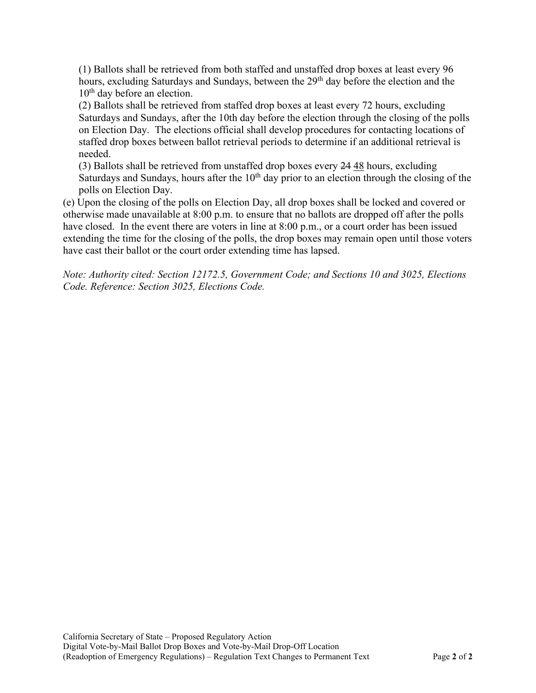(1) Ballots shall be retrieved from both staffed and unstaffed drop boxes at least every 96 hours, excluding Saturdays and Sundays, between the 29<sup>th</sup> day before the election and the  $10<sup>th</sup>$  day before an election.

(2) Ballots shall be retrieved from staffed drop boxes at least every 72 hours, excluding Saturdays and Sundays, after the 10th day before the election through the closing of the polls on Election Day. The elections official shall develop procedures for contacting locations of staffed drop boxes between ballot retrieval periods to determine if an additional retrieval is needed.

(3) Ballots shall be retrieved from unstaffed drop boxes every 24 48 hours, excluding Saturdays and Sundays, hours after the  $10<sup>th</sup>$  day prior to an election through the closing of the polls on Election Day.

(e) Upon the closing of the polls on Election Day, all drop boxes shall be locked and covered or otherwise made unavailable at 8:00 p.m. to ensure that no ballots are dropped off after the polls have closed. In the event there are voters in line at 8:00 p.m., or a court order has been issued extending the time for the closing of the polls, the drop boxes may remain open until those voters have cast their ballot or the court order extending time has lapsed.

*Note: Authority cited: Section 12172.5, Government Code; and Sections 10 and 3025, Elections Code. Reference: Section 3025, Elections Code.*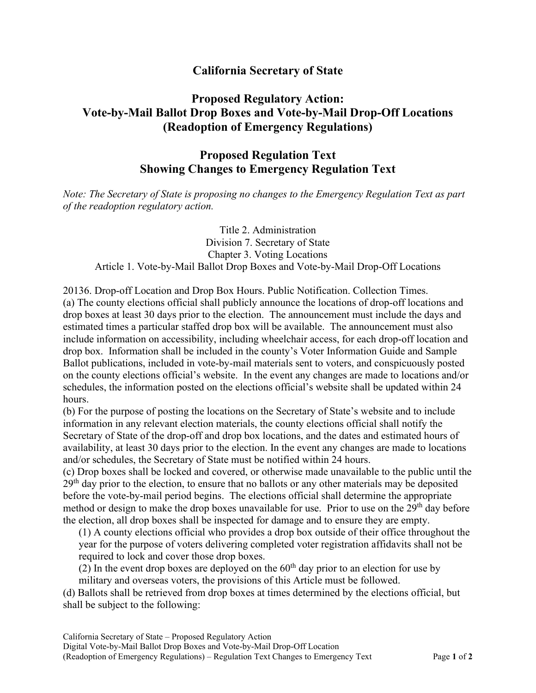### **California Secretary of State**

# **Proposed Regulatory Action: Vote-by-Mail Ballot Drop Boxes and Vote-by-Mail Drop-Off Locations (Readoption of Emergency Regulations)**

# **Proposed Regulation Text Showing Changes to Emergency Regulation Text**

*Note: The Secretary of State is proposing no changes to the Emergency Regulation Text as part of the readoption regulatory action.* 

Title 2. Administration Division 7. Secretary of State Chapter 3. Voting Locations Article 1. Vote-by-Mail Ballot Drop Boxes and Vote-by-Mail Drop-Off Locations

20136. Drop-off Location and Drop Box Hours. Public Notification. Collection Times. (a) The county elections official shall publicly announce the locations of drop-off locations and drop boxes at least 30 days prior to the election. The announcement must include the days and estimated times a particular staffed drop box will be available. The announcement must also include information on accessibility, including wheelchair access, for each drop-off location and drop box. Information shall be included in the county's Voter Information Guide and Sample Ballot publications, included in vote-by-mail materials sent to voters, and conspicuously posted on the county elections official's website. In the event any changes are made to locations and/or schedules, the information posted on the elections official's website shall be updated within 24 hours.

(b) For the purpose of posting the locations on the Secretary of State's website and to include information in any relevant election materials, the county elections official shall notify the Secretary of State of the drop-off and drop box locations, and the dates and estimated hours of availability, at least 30 days prior to the election. In the event any changes are made to locations and/or schedules, the Secretary of State must be notified within 24 hours.

(c) Drop boxes shall be locked and covered, or otherwise made unavailable to the public until the  $29<sup>th</sup>$  day prior to the election, to ensure that no ballots or any other materials may be deposited before the vote-by-mail period begins. The elections official shall determine the appropriate method or design to make the drop boxes unavailable for use. Prior to use on the 29<sup>th</sup> day before the election, all drop boxes shall be inspected for damage and to ensure they are empty.

(1) A county elections official who provides a drop box outside of their office throughout the year for the purpose of voters delivering completed voter registration affidavits shall not be required to lock and cover those drop boxes.

(2) In the event drop boxes are deployed on the  $60<sup>th</sup>$  day prior to an election for use by military and overseas voters, the provisions of this Article must be followed.

(d) Ballots shall be retrieved from drop boxes at times determined by the elections official, but shall be subject to the following: